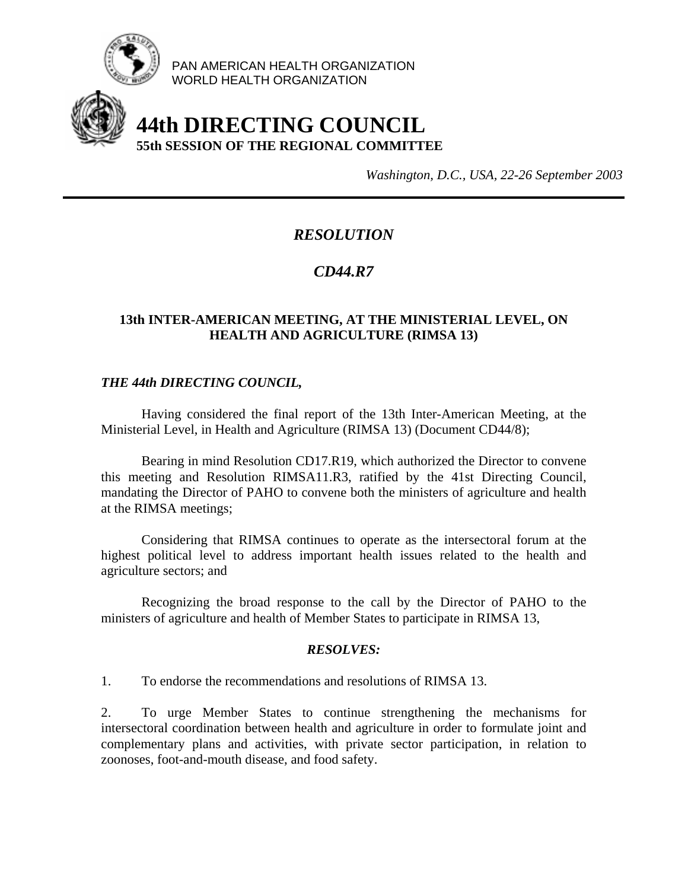

PAN AMERICAN HEALTH ORGANIZATION WORLD HEALTH ORGANIZATION

# **44th DIRECTING COUNCIL 55th SESSION OF THE REGIONAL COMMITTEE**

*Washington, D.C., USA, 22-26 September 2003*

## *RESOLUTION*

## *CD44.R7*

### **13th INTER-AMERICAN MEETING, AT THE MINISTERIAL LEVEL, ON HEALTH AND AGRICULTURE (RIMSA 13)**

#### *THE 44th DIRECTING COUNCIL,*

 Having considered the final report of the 13th Inter-American Meeting, at the Ministerial Level, in Health and Agriculture (RIMSA 13) (Document CD44/8);

Bearing in mind Resolution CD17.R19, which authorized the Director to convene this meeting and Resolution RIMSA11.R3, ratified by the 41st Directing Council, mandating the Director of PAHO to convene both the ministers of agriculture and health at the RIMSA meetings;

Considering that RIMSA continues to operate as the intersectoral forum at the highest political level to address important health issues related to the health and agriculture sectors; and

Recognizing the broad response to the call by the Director of PAHO to the ministers of agriculture and health of Member States to participate in RIMSA 13,

#### *RESOLVES:*

1. To endorse the recommendations and resolutions of RIMSA 13.

2. To urge Member States to continue strengthening the mechanisms for intersectoral coordination between health and agriculture in order to formulate joint and complementary plans and activities, with private sector participation, in relation to zoonoses, foot-and-mouth disease, and food safety.